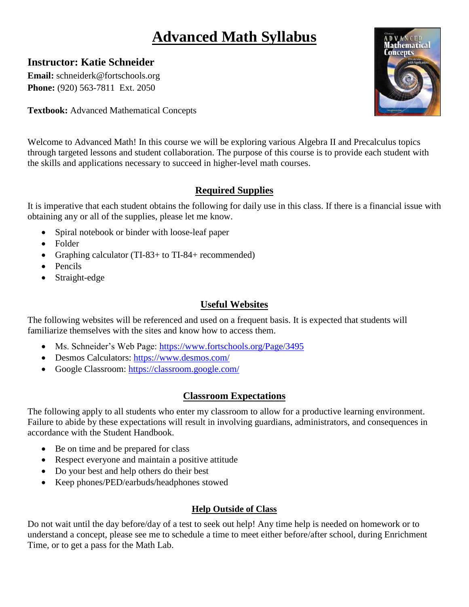# **Advanced Math Syllabus**

# **Instructor: Katie Schneider**

**Email:** schneiderk@fortschools.org **Phone:** (920) 563-7811 Ext. 2050

**Textbook:** Advanced Mathematical Concepts



Welcome to Advanced Math! In this course we will be exploring various Algebra II and Precalculus topics through targeted lessons and student collaboration. The purpose of this course is to provide each student with the skills and applications necessary to succeed in higher-level math courses.

# **Required Supplies**

It is imperative that each student obtains the following for daily use in this class. If there is a financial issue with obtaining any or all of the supplies, please let me know.

- Spiral notebook or binder with loose-leaf paper
- Folder
- Graphing calculator (TI-83+ to TI-84+ recommended)
- Pencils
- Straight-edge

## **Useful Websites**

The following websites will be referenced and used on a frequent basis. It is expected that students will familiarize themselves with the sites and know how to access them.

- Ms. Schneider's Web Page:<https://www.fortschools.org/Page/3495>
- Desmos Calculators:<https://www.desmos.com/>
- Google Classroom:<https://classroom.google.com/>

## **Classroom Expectations**

The following apply to all students who enter my classroom to allow for a productive learning environment. Failure to abide by these expectations will result in involving guardians, administrators, and consequences in accordance with the Student Handbook.

- Be on time and be prepared for class
- Respect everyone and maintain a positive attitude
- Do your best and help others do their best
- Keep phones/PED/earbuds/headphones stowed

## **Help Outside of Class**

Do not wait until the day before/day of a test to seek out help! Any time help is needed on homework or to understand a concept, please see me to schedule a time to meet either before/after school, during Enrichment Time, or to get a pass for the Math Lab.